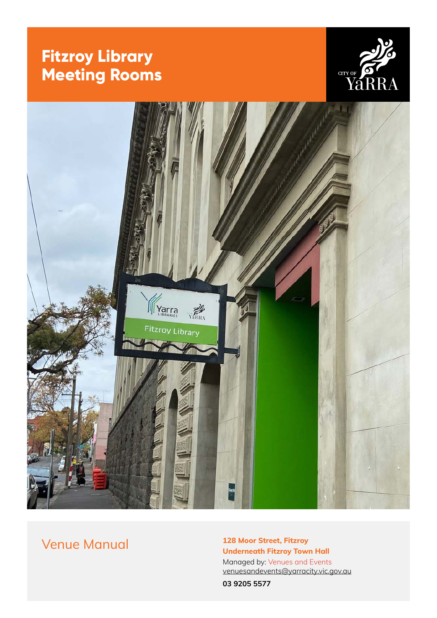# **Fitzroy Library Meeting Rooms**





# Venue Manual **128 Moor Street, Fitzroy**

**Underneath Fitzroy Town Hall** Managed by: [Venues and Events](https://arts.yarracity.vic.gov.au/book-a-venue) v[enuesandevents@yarracity.vic.gov.au](mailto:venuesandevents%40yarracity.vic.gov.au?subject=)

**03 9205 5577**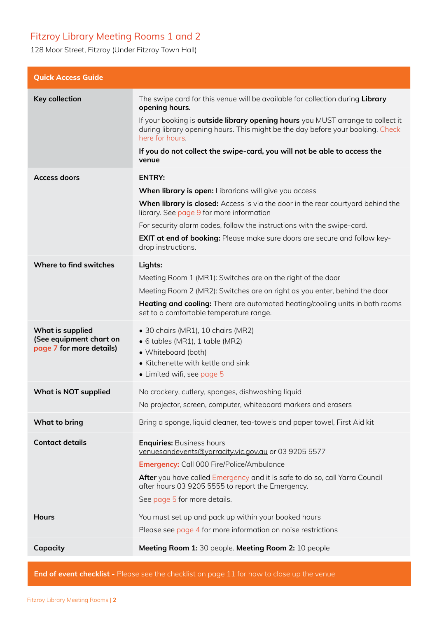# <span id="page-1-0"></span>Fitzroy Library Meeting Rooms 1 and 2

128 Moor Street, Fitzroy (Under Fitzroy Town Hall)

| <b>Quick Access Guide</b>                                               |                                                                                                                                                                                                                                                                                                                  |  |  |
|-------------------------------------------------------------------------|------------------------------------------------------------------------------------------------------------------------------------------------------------------------------------------------------------------------------------------------------------------------------------------------------------------|--|--|
| Key collection                                                          | The swipe card for this venue will be available for collection during Library<br>opening hours.                                                                                                                                                                                                                  |  |  |
|                                                                         | If your booking is <b>outside library opening hours</b> you MUST arrange to collect it<br>during library opening hours. This might be the day before your booking. Check<br>here for hours.                                                                                                                      |  |  |
|                                                                         | If you do not collect the swipe-card, you will not be able to access the<br>venue                                                                                                                                                                                                                                |  |  |
| <b>Access doors</b>                                                     | <b>ENTRY:</b>                                                                                                                                                                                                                                                                                                    |  |  |
|                                                                         | When library is open: Librarians will give you access                                                                                                                                                                                                                                                            |  |  |
|                                                                         | When library is closed: Access is via the door in the rear courtyard behind the<br>library. See page 9 for more information                                                                                                                                                                                      |  |  |
|                                                                         | For security alarm codes, follow the instructions with the swipe-card.                                                                                                                                                                                                                                           |  |  |
|                                                                         | EXIT at end of booking: Please make sure doors are secure and follow key-<br>drop instructions.                                                                                                                                                                                                                  |  |  |
| Where to find switches                                                  | Lights:                                                                                                                                                                                                                                                                                                          |  |  |
|                                                                         | Meeting Room 1 (MR1): Switches are on the right of the door                                                                                                                                                                                                                                                      |  |  |
|                                                                         | Meeting Room 2 (MR2): Switches are on right as you enter, behind the door                                                                                                                                                                                                                                        |  |  |
|                                                                         | <b>Heating and cooling:</b> There are automated heating/cooling units in both rooms<br>set to a comfortable temperature range.                                                                                                                                                                                   |  |  |
| What is supplied<br>(See equipment chart on<br>page 7 for more details) | • 30 chairs (MR1), 10 chairs (MR2)<br>$\bullet$ 6 tables (MR1), 1 table (MR2)<br>• Whiteboard (both)<br>• Kitchenette with kettle and sink<br>• Limited wifi, see page 5                                                                                                                                         |  |  |
| <b>What is NOT supplied</b>                                             | No crockery, cutlery, sponges, dishwashing liquid                                                                                                                                                                                                                                                                |  |  |
|                                                                         | No projector, screen, computer, whiteboard markers and erasers                                                                                                                                                                                                                                                   |  |  |
| What to bring                                                           | Bring a sponge, liquid cleaner, tea-towels and paper towel, First Aid kit                                                                                                                                                                                                                                        |  |  |
| <b>Contact details</b>                                                  | <b>Enquiries: Business hours</b><br>venuesandevents@yarracity.vic.gov.au or 03 9205 5577<br><b>Emergency:</b> Call 000 Fire/Police/Ambulance<br>After you have called Emergency and it is safe to do so, call Yarra Council<br>after hours 03 9205 5555 to report the Emergency.<br>See page 5 for more details. |  |  |
| <b>Hours</b>                                                            | You must set up and pack up within your booked hours                                                                                                                                                                                                                                                             |  |  |
|                                                                         | Please see page 4 for more information on noise restrictions                                                                                                                                                                                                                                                     |  |  |
| Capacity                                                                | Meeting Room 1: 30 people. Meeting Room 2: 10 people                                                                                                                                                                                                                                                             |  |  |
|                                                                         |                                                                                                                                                                                                                                                                                                                  |  |  |

**End of event checklist -** Please see the checklist on [page 11](#page-10-0) for how to close up the venue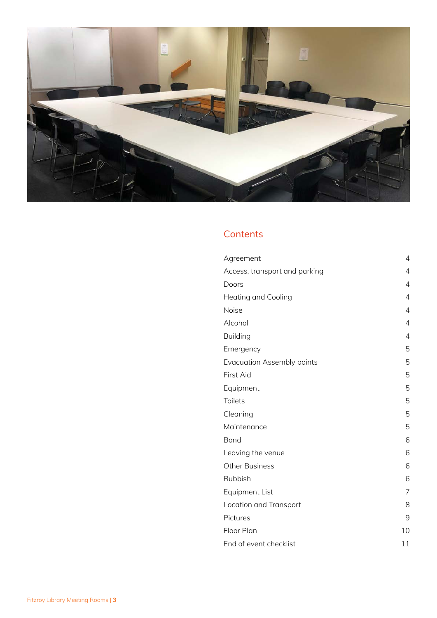

# **Contents**

| Agreement                         | $\overline{4}$ |
|-----------------------------------|----------------|
| Access, transport and parking     | $\overline{4}$ |
| Doors                             | $\overline{4}$ |
| <b>Heating and Cooling</b>        | 4              |
| Noise                             | 4              |
| Alcohol                           | $\overline{4}$ |
| <b>Building</b>                   | 4              |
| Emergency                         | 5              |
| <b>Evacuation Assembly points</b> | 5              |
| First Aid                         | 5              |
| Equipment                         | 5              |
| Toilets                           | 5              |
| Cleaning                          | 5              |
| Maintenance                       | 5              |
| Bond                              | 6              |
| Leaving the venue                 | 6              |
| <b>Other Business</b>             | 6              |
| Rubbish                           | 6              |
| Equipment List                    | 7              |
| Location and Transport            | 8              |
| Pictures                          | 9              |
| Floor Plan                        | 10             |
| End of event checklist            | 11             |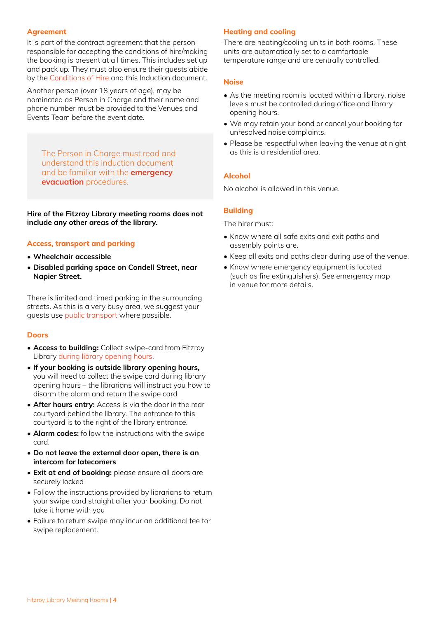#### <span id="page-3-0"></span>**Agreement**

It is part of the contract agreement that the person responsible for accepting the conditions of hire/making the booking is present at all times. This includes set up and pack up. They must also ensure their guests abide by the [Conditions of Hire](https://arts.yarracity.vic.gov.au/-/media/files/yarra-arts/events-documents/conditions-of-hire-for-council-venues.pdf?la=en) and this Induction document.

Another person (over 18 years of age), may be nominated as Person in Charge and their name and phone number must be provided to the Venues and Events Team before the event date.

[The Person in Charge must read and](#page-4-0)  understand this induction document and be familiar with the **emergency evacuation** procedures.

**Hire of the Fitzroy Library meeting rooms does not include any other areas of the library.**

#### **Access, transport and parking**

- **Wheelchair accessible**
- **Disabled parking space on Condell Street, near Napier Street.**

There is limited and timed parking in the surrounding streets. As this is a very busy area, we suggest your guests use [public transport](#page-7-0) where possible.

#### **Doors**

- **Access to building:** Collect swipe-card from Fitzroy Library [during library opening hours.](https://library.yarracity.vic.gov.au/hours-and-locations/fitzroy-library)
- **If your booking is outside library opening hours,**  you will need to collect the swipe card during library opening hours – the librarians will instruct you how to disarm the alarm and return the swipe card
- **After hours entry:** Access is via the door in the rear courtyard behind the library. The entrance to this courtyard is to the right of the library entrance.
- **Alarm codes:** follow the instructions with the swipe card.
- **Do not leave the external door open, there is an intercom for latecomers**
- **Exit at end of booking:** please ensure all doors are securely locked
- Follow the instructions provided by librarians to return your swipe card straight after your booking. Do not take it home with you
- Failure to return swipe may incur an additional fee for swipe replacement.

#### **Heating and cooling**

There are heating/cooling units in both rooms. These units are automatically set to a comfortable temperature range and are centrally controlled.

#### **Noise**

- As the meeting room is located within a library, noise levels must be controlled during office and library opening hours.
- We may retain your bond or cancel your booking for unresolved noise complaints.
- Please be respectful when leaving the venue at night as this is a residential area.

#### **Alcohol**

No alcohol is allowed in this venue.

### **Building**

The hirer must:

- Know where all safe exits and exit paths and assembly points are.
- Keep all exits and paths clear during use of the venue.
- Know where emergency equipment is located (such as fire extinguishers). See emergency map in venue for more details.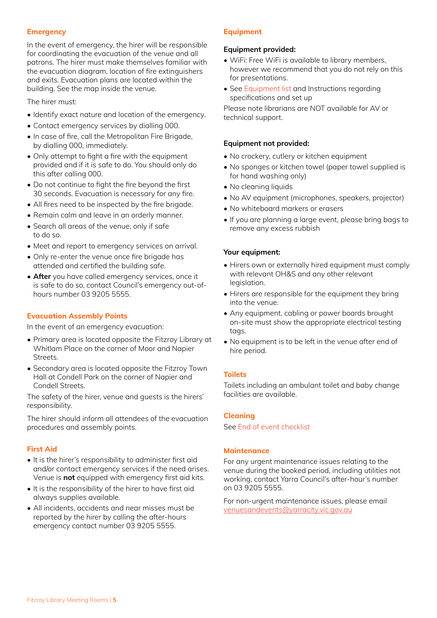#### <span id="page-4-0"></span>**Emergency**

In the event of emergency, the hirer will be responsible for coordinating the evacuation of the venue and all patrons. The hirer must make themselves familiar with the evacuation diagram, location of fire extinguishers and exits. Evacuation plans are located within the building. See the map inside the venue.

The hirer must:

- Identify exact nature and location of the emergency.
- Contact emergency services by dialling 000.
- In case of fire, call the Metropolitan Fire Brigade, by dialling 000, immediately.
- Only attempt to fight a fire with the equipment provided and if it is safe to do. You should only do this after calling 000.
- Do not continue to fight the fire beyond the first 30 seconds. Evacuation is necessary for any fire.
- All fires need to be inspected by the fire brigade.
- Remain calm and leave in an orderly manner.
- Search all areas of the venue, only if safe to do so.
- Meet and report to emergency services on arrival.
- Only re-enter the venue once fire brigade has attended and certified the building safe.
- **After** you have called emergency services, once it is safe to do so, contact Council's emergency out-ofhours number 03 9205 5555.

### **Evacuation Assembly Points**

In the event of an emergency evacuation:

- Primary area is located opposite the Fitzroy Library at Whitlam Place on the corner of Moor and Napier Streets.
- Secondary area is located opposite the Fitzroy Town Hall at Condell Park on the corner of Napier and Condell Streets.

The safety of the hirer, venue and guests is the hirers' responsibility.

The hirer should inform all attendees of the evacuation procedures and assembly points.

### **First Aid**

- It is the hirer's responsibility to administer first aid and/or contact emergency services if the need arises. Venue is **not** equipped with emergency first aid kits.
- It is the responsibility of the hirer to have first aid always supplies available.
- All incidents, accidents and near misses must be reported by the hirer by calling the after-hours emergency contact number 03 9205 5555.

#### **Equipment**

#### **Equipment provided:**

- WiFi: Free WiFi is available to library members, however we recommend that you do not rely on this for presentations.
- See [Equipment list](#page-6-0) and Instructions regarding specifications and set up

Please note librarians are NOT available for AV or technical support.

#### **Equipment not provided:**

- No crockery, cutlery or kitchen equipment
- No sponges or kitchen towel (paper towel supplied is for hand washing only)
- No cleaning liquids
- No AV equipment (microphones, speakers, projector)
- No whiteboard markers or erasers
- If you are planning a large event, please bring bags to remove any excess rubbish

### **Your equipment:**

- Hirers own or externally hired equipment must comply with relevant OH&S and any other relevant legislation.
- Hirers are responsible for the equipment they bring into the venue.
- Any equipment, cabling or power boards brought on-site must show the appropriate electrical testing tags.
- No equipment is to be left in the venue after end of hire period.

### **Toilets**

Toilets including an ambulant toilet and baby change facilities are available.

#### **Cleaning**

See [End of event checklist](#page-10-0)

#### **Maintenance**

For any urgent maintenance issues relating to the venue during the booked period, including utilities not working, contact Yarra Council's after-hour's number on 03 9205 5555.

For non-urgent maintenance issues, please email [venuesandevents@yarracity.vic.gov.au](mailto:venuesandevents%40yarracity.vic.gov.au%20?subject=)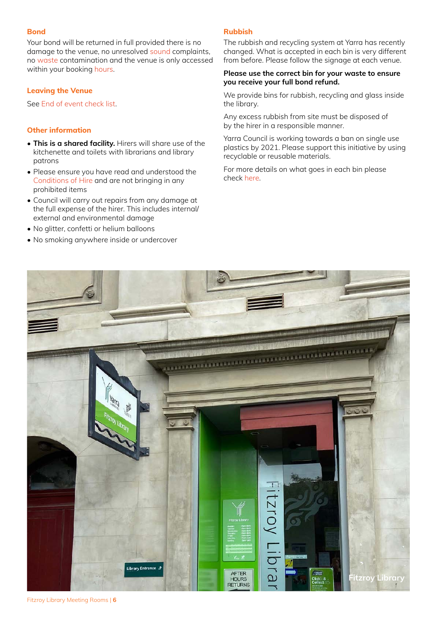#### <span id="page-5-0"></span>**Bond**

Your bond will be returned in full provided there is no damage to the venue, no unresolved [sound](#page-3-0) complaints, no [waste](https://www.yarracity.vic.gov.au/services/recycling-and-rubbish/recycling-in-our-venues) contamination and the venue is only accessed within your booking [hours](#page-1-0).

#### **Leaving the Venue**

See [End of event check list](#page-10-0).

#### **Other information**

- **This is a shared facility.** Hirers will share use of the kitchenette and toilets with librarians and library patrons
- Please ensure you have read and understood the [Conditions of Hire](https://arts.yarracity.vic.gov.au/-/media/files/yarra-arts/events-documents/conditions-of-hire-for-council-venues.pdf?la=en) and are not bringing in any prohibited items
- Council will carry out repairs from any damage at the full expense of the hirer. This includes internal/ external and environmental damage
- No glitter, confetti or helium balloons
- No smoking anywhere inside or undercover

#### **Rubbish**

The rubbish and recycling system at Yarra has recently changed. What is accepted in each bin is very different from before. Please follow the signage at each venue.

#### **Please use the correct bin for your waste to ensure you receive your full bond refund.**

We provide bins for rubbish, recycling and glass inside the library.

Any excess rubbish from site must be disposed of by the hirer in a responsible manner.

Yarra Council is working towards a ban on single use plastics by 2021. Please support this initiative by using recyclable or reusable materials.

For more details on what goes in each bin please check [here.](https://www.yarracity.vic.gov.au/services/recycling-and-rubbish/recycling-in-our-venues)



Fitzroy Library Meeting Rooms | **6**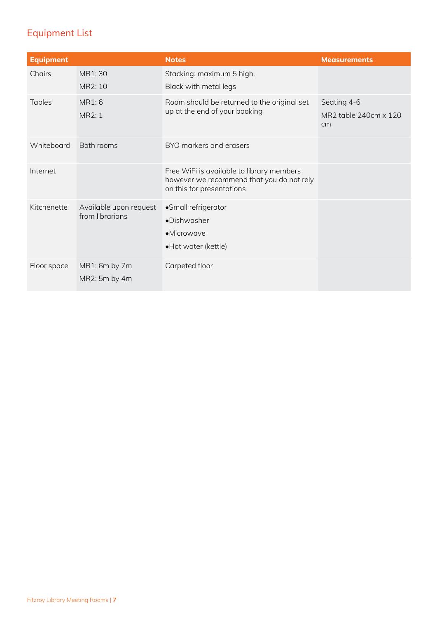# <span id="page-6-0"></span>Equipment List

| <b>Equipment</b> |                                           | <b>Notes</b>                                                                                                        | <b>Measurements</b>                        |
|------------------|-------------------------------------------|---------------------------------------------------------------------------------------------------------------------|--------------------------------------------|
| Chairs           | MR1: 30<br>MR2: 10                        | Stacking: maximum 5 high.<br>Black with metal legs                                                                  |                                            |
| Tables           | MR1:6<br>MR2: 1                           | Room should be returned to the original set<br>up at the end of your booking                                        | Seating 4-6<br>MR2 table 240cm x 120<br>cm |
| Whiteboard       | Both rooms                                | BYO markers and erasers                                                                                             |                                            |
| Internet         |                                           | Free WiFi is available to library members<br>however we recommend that you do not rely<br>on this for presentations |                                            |
| Kitchenette      | Available upon request<br>from librarians | •Small refrigerator<br>•Dishwasher<br>•Microwave<br>•Hot water (kettle)                                             |                                            |
| Floor space      | MR1: 6m by 7m<br>MR2: 5m by 4m            | Carpeted floor                                                                                                      |                                            |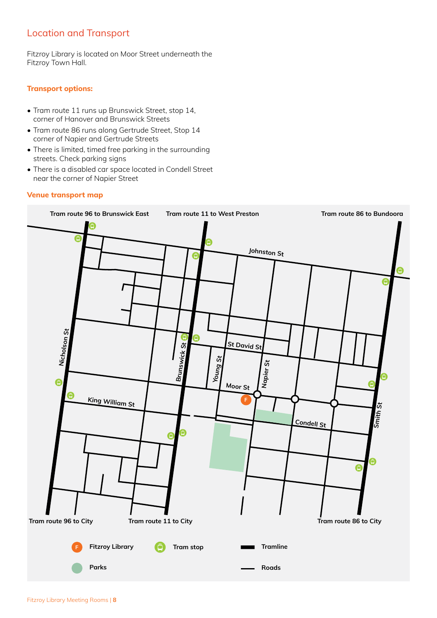# <span id="page-7-0"></span>Location and Transport

Fitzroy Library is located on Moor Street underneath the Fitzroy Town Hall.

#### **Transport options:**

- Tram route 11 runs up Brunswick Street, stop 14, corner of Hanover and Brunswick Streets
- Tram route 86 runs along Gertrude Street, Stop 14 corner of Napier and Gertrude Streets
- There is limited, timed free parking in the surrounding streets. Check parking signs
- There is a disabled car space located in Condell Street near the corner of Napier Street

#### **Venue transport map**

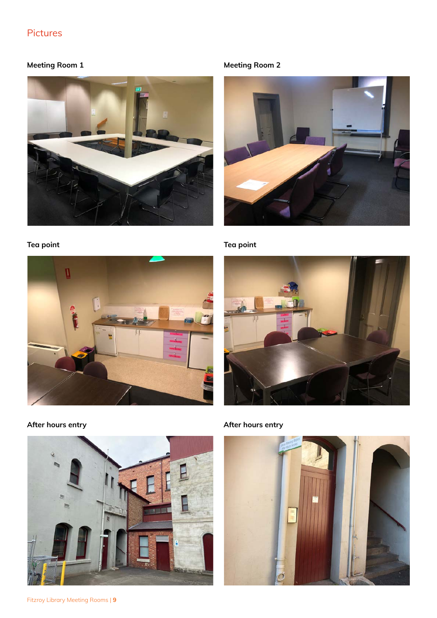# <span id="page-8-0"></span>Pictures

# **Meeting Room 1**





### **Tea point Tea point**



**Meeting Room 2**





**After hours entry After hours entry**

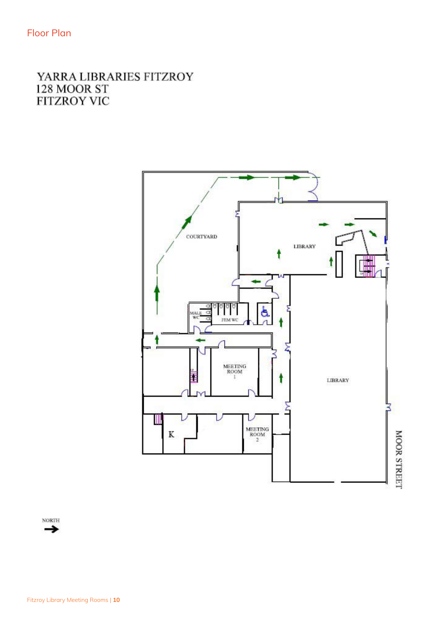# <span id="page-9-0"></span>YARRA LIBRARIES FITZROY 128 MOOR ST **FITZROY VIC**



**NORTH**